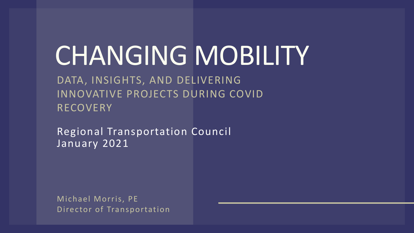# CHANGING MOBILITY

DATA, INSIGHTS, AND DELIVERING INNOVATIVE PROJECTS DURING COVID RECOVERY

Regional Transportation Council January 2021

Michael Morris, PE Director of Transportation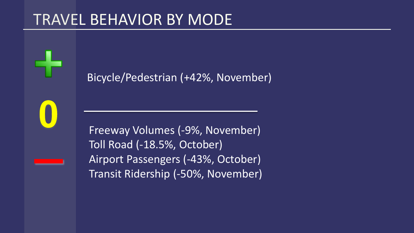### TRAVEL BEHAVIOR BY MODE

Bicycle/Pedestrian (+42%, November)

Freeway Volumes (-9%, November) Toll Road (-18.5%, October) Airport Passengers (-43%, October) Transit Ridership (-50%, November)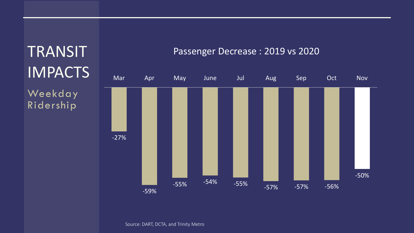### **TRANSIT** IMPACTS Weekday Ridership -27% -59% -55% -54% -55% -57% -57% -56% -50% Mar Apr May June Jul Aug Sep Oct Nov

#### Passenger Decrease : 2019 vs 2020

Source: DART, DCTA, and Trinity Metro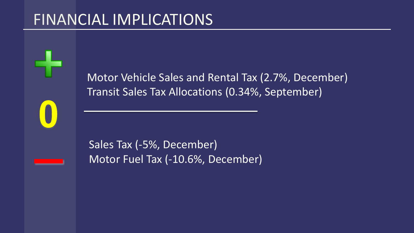### FINANCIAL IMPLICATIONS

Motor Vehicle Sales and Rental Tax (2.7%, December) Transit Sales Tax Allocations (0.34%, September)

Sales Tax (-5%, December) Motor Fuel Tax (-10.6%, December)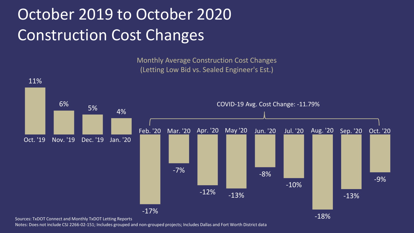# October 2019 to October 2020 Construction Cost Changes

Monthly Average Construction Cost Changes (Letting Low Bid vs. Sealed Engineer's Est.)



Sources: TxDOT Connect and Monthly TxDOT Letting Reports

Notes: Does not include CSJ 2266-02-151; Includes grouped and non-grouped projects; Includes Dallas and Fort Worth District data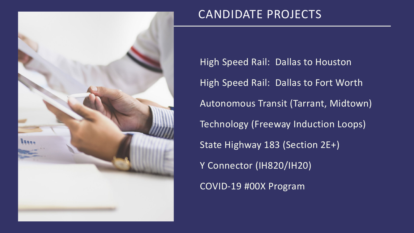

### CANDIDATE PROJECTS

High Speed Rail: Dallas to Houston High Speed Rail: Dallas to Fort Worth Autonomous Transit (Tarrant, Midtown) Technology (Freeway Induction Loops) State Highway 183 (Section 2E+) Y Connector (IH820/IH20) COVID-19 #00X Program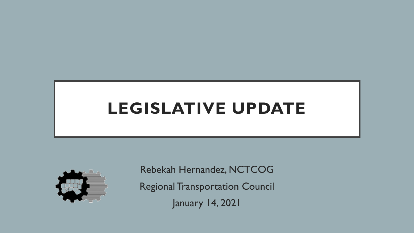# **LEGISLATIVE UPDATE**



Rebekah Hernandez, NCTCOG Regional Transportation Council January 14, 2021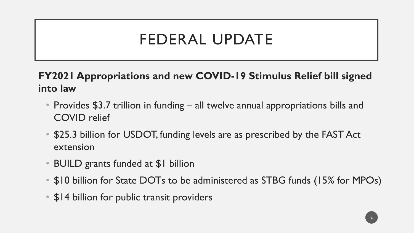# FEDERAL UPDATE

**FY2021 Appropriations and new COVID-19 Stimulus Relief bill signed into law**

- Provides \$3.7 trillion in funding all twelve annual appropriations bills and COVID relief
- \$25.3 billion for USDOT, funding levels are as prescribed by the FAST Act extension
- BUILD grants funded at \$1 billion
- \$10 billion for State DOTs to be administered as STBG funds (15% for MPOs)
- \$14 billion for public transit providers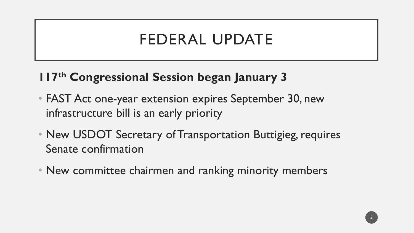# FEDERAL UPDATE

### **117th Congressional Session began January 3**

- FAST Act one-year extension expires September 30, new infrastructure bill is an early priority
- New USDOT Secretary of Transportation Buttigieg, requires Senate confirmation
- New committee chairmen and ranking minority members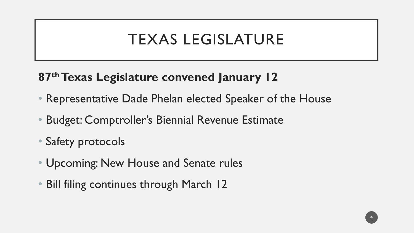# TEXAS LEGISLATURE

### **87<sup>th</sup> Texas Legislature convened January 12**

- Representative Dade Phelan elected Speaker of the House
- Budget: Comptroller's Biennial Revenue Estimate
- Safety protocols
- Upcoming: New House and Senate rules
- Bill filing continues through March 12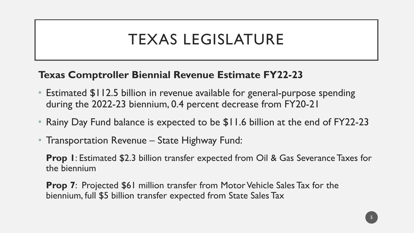# TEXAS LEGISLATURE

### **Texas Comptroller Biennial Revenue Estimate FY22-23**

- Estimated \$112.5 billion in revenue available for general-purpose spending during the 2022-23 biennium, 0.4 percent decrease from FY20-21
- Rainy Day Fund balance is expected to be \$11.6 billion at the end of FY22-23
- Transportation Revenue State Highway Fund:

**Prop 1**: Estimated \$2.3 billion transfer expected from Oil & Gas Severance Taxes for the biennium

**Prop 7:** Projected \$61 million transfer from Motor Vehicle Sales Tax for the biennium, full \$5 billion transfer expected from State Sales Tax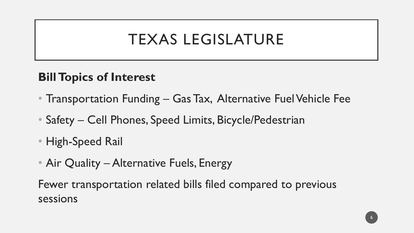# TEXAS LEGISLATURE

### **Bill Topics of Interest**

- Transportation Funding Gas Tax, Alternative Fuel Vehicle Fee
- Safety Cell Phones, Speed Limits, Bicycle/Pedestrian
- High-Speed Rail
- Air Quality Alternative Fuels, Energy

Fewer transportation related bills filed compared to previous sessions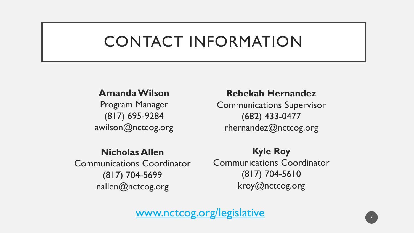# CONTACT INFORMATION

#### **Amanda Wilson**

Program Manager (817) 695-9284 awilson@nctcog.org

#### **Nicholas Allen**

Communications Coordinator (817) 704-5699 nallen@nctcog.org

#### **Rebekah Hernandez**

Communications Supervisor (682) 433-0477 rhernandez@nctcog.org

**Kyle Roy** Communications Coordinator (817) 704-5610 kroy@nctcog.org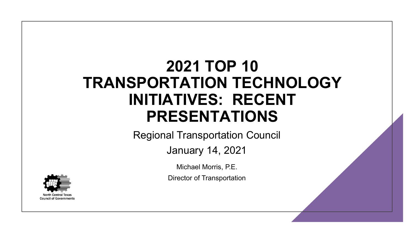# **2021 TOP 10 TRANSPORTATION TECHNOLOGY INITIATIVES: RECENT PRESENTATIONS**

Regional Transportation Council

January 14, 2021

Michael Morris, P.E.

Director of Transportation

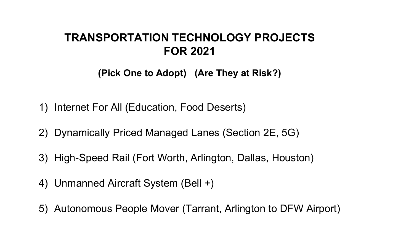### **TRANSPORTATION TECHNOLOGY PROJECTS FOR 2021**

**(Pick One to Adopt) (Are They at Risk?)**

- 1) Internet For All (Education, Food Deserts)
- 2) Dynamically Priced Managed Lanes (Section 2E, 5G)
- 3) High-Speed Rail (Fort Worth, Arlington, Dallas, Houston)
- 4) Unmanned Aircraft System (Bell +)
- 5) Autonomous People Mover (Tarrant, Arlington to DFW Airport)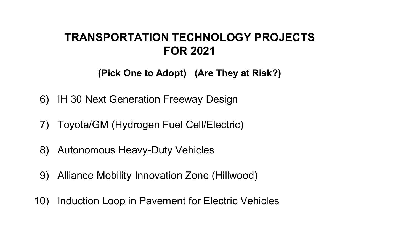### **TRANSPORTATION TECHNOLOGY PROJECTS FOR 2021**

**(Pick One to Adopt) (Are They at Risk?)**

- 6) IH 30 Next Generation Freeway Design
- 7) Toyota/GM (Hydrogen Fuel Cell/Electric)
- 8) Autonomous Heavy-Duty Vehicles
- 9) Alliance Mobility Innovation Zone (Hillwood)
- 10) Induction Loop in Pavement for Electric Vehicles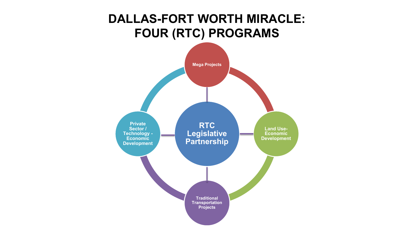### **DALLAS-FORT WORTH MIRACLE: FOUR (RTC) PROGRAMS**